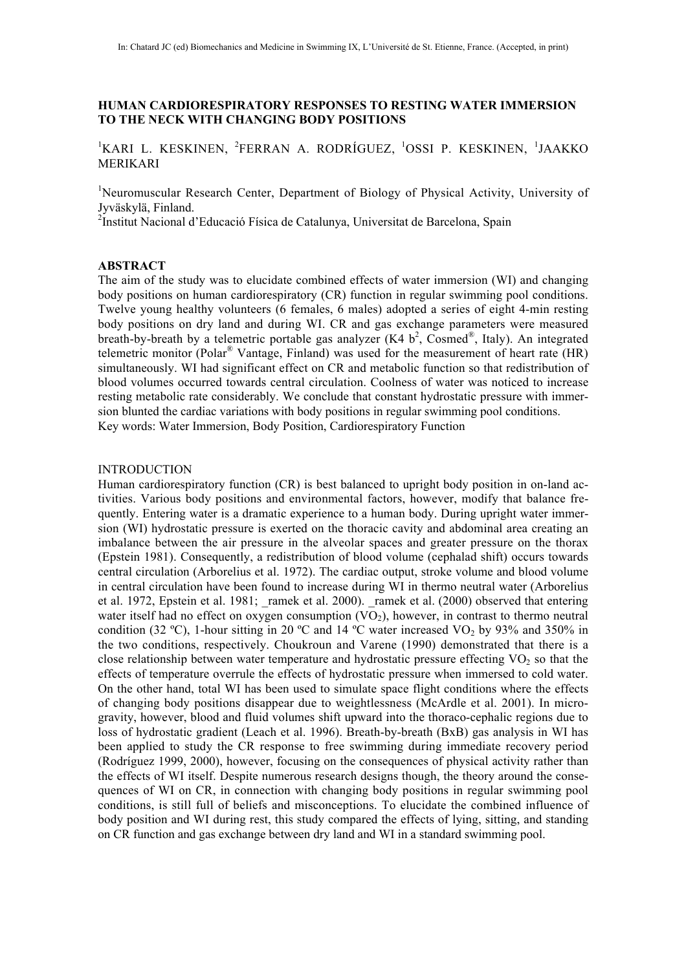# **HUMAN CARDIORESPIRATORY RESPONSES TO RESTING WATER IMMERSION TO THE NECK WITH CHANGING BODY POSITIONS**

<sup>1</sup>KARI L. KESKINEN, <sup>2</sup>FERRAN A. RODRÍGUEZ, <sup>1</sup>OSSI P. KESKINEN, <sup>1</sup>JAAKKO MERIKARI

<sup>1</sup>Neuromuscular Research Center, Department of Biology of Physical Activity, University of Jyväskylä, Finland.

<sup>2</sup>Institut Nacional d'Educació Física de Catalunya, Universitat de Barcelona, Spain

## **ABSTRACT**

The aim of the study was to elucidate combined effects of water immersion (WI) and changing body positions on human cardiorespiratory (CR) function in regular swimming pool conditions. Twelve young healthy volunteers (6 females, 6 males) adopted a series of eight 4-min resting body positions on dry land and during WI. CR and gas exchange parameters were measured breath-by-breath by a telemetric portable gas analyzer (K4  $b^2$ , Cosmed®, Italy). An integrated telemetric monitor (Polar® Vantage, Finland) was used for the measurement of heart rate (HR) simultaneously. WI had significant effect on CR and metabolic function so that redistribution of blood volumes occurred towards central circulation. Coolness of water was noticed to increase resting metabolic rate considerably. We conclude that constant hydrostatic pressure with immersion blunted the cardiac variations with body positions in regular swimming pool conditions. Key words: Water Immersion, Body Position, Cardiorespiratory Function

#### INTRODUCTION

Human cardiorespiratory function (CR) is best balanced to upright body position in on-land activities. Various body positions and environmental factors, however, modify that balance frequently. Entering water is a dramatic experience to a human body. During upright water immersion (WI) hydrostatic pressure is exerted on the thoracic cavity and abdominal area creating an imbalance between the air pressure in the alveolar spaces and greater pressure on the thorax (Epstein 1981). Consequently, a redistribution of blood volume (cephalad shift) occurs towards central circulation (Arborelius et al. 1972). The cardiac output, stroke volume and blood volume in central circulation have been found to increase during WI in thermo neutral water (Arborelius et al. 1972, Epstein et al. 1981; ramek et al. 2000). ramek et al. (2000) observed that entering water itself had no effect on oxygen consumption  $(VO<sub>2</sub>)$ , however, in contrast to thermo neutral condition (32 °C), 1-hour sitting in 20 °C and 14 °C water increased VO<sub>2</sub> by 93% and 350% in the two conditions, respectively. Choukroun and Varene (1990) demonstrated that there is a close relationship between water temperature and hydrostatic pressure effecting  $VO<sub>2</sub>$  so that the effects of temperature overrule the effects of hydrostatic pressure when immersed to cold water. On the other hand, total WI has been used to simulate space flight conditions where the effects of changing body positions disappear due to weightlessness (McArdle et al. 2001). In microgravity, however, blood and fluid volumes shift upward into the thoraco-cephalic regions due to loss of hydrostatic gradient (Leach et al. 1996). Breath-by-breath (BxB) gas analysis in WI has been applied to study the CR response to free swimming during immediate recovery period (Rodríguez 1999, 2000), however, focusing on the consequences of physical activity rather than the effects of WI itself. Despite numerous research designs though, the theory around the consequences of WI on CR, in connection with changing body positions in regular swimming pool conditions, is still full of beliefs and misconceptions. To elucidate the combined influence of body position and WI during rest, this study compared the effects of lying, sitting, and standing on CR function and gas exchange between dry land and WI in a standard swimming pool.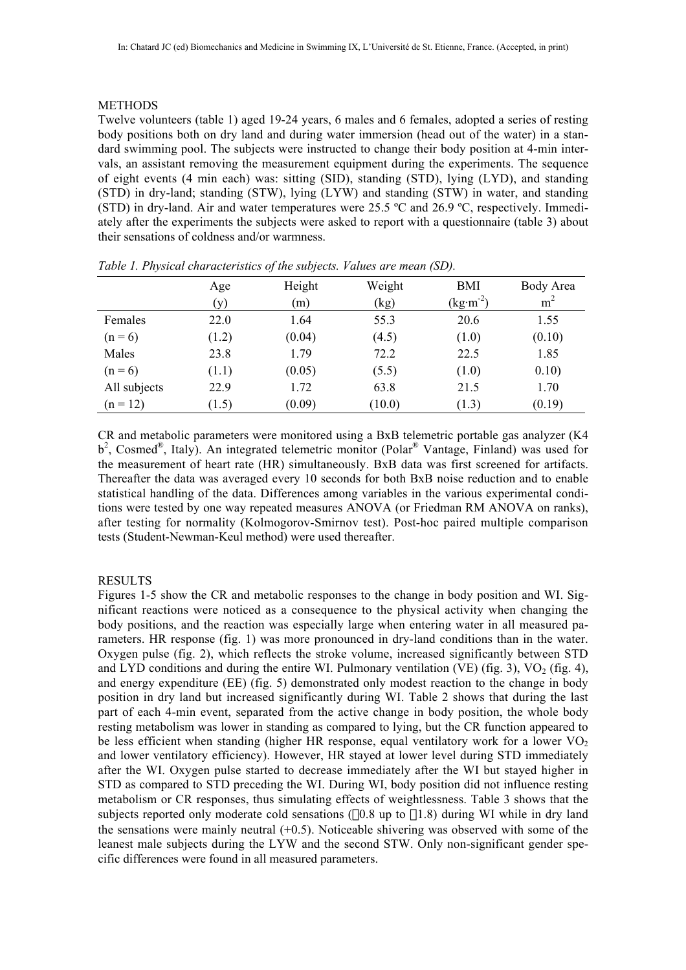# METHODS

Twelve volunteers (table 1) aged 19-24 years, 6 males and 6 females, adopted a series of resting body positions both on dry land and during water immersion (head out of the water) in a standard swimming pool. The subjects were instructed to change their body position at 4-min intervals, an assistant removing the measurement equipment during the experiments. The sequence of eight events (4 min each) was: sitting (SID), standing (STD), lying (LYD), and standing (STD) in dry-land; standing (STW), lying (LYW) and standing (STW) in water, and standing (STD) in dry-land. Air and water temperatures were 25.5 ºC and 26.9 ºC, respectively. Immediately after the experiments the subjects were asked to report with a questionnaire (table 3) about their sensations of coldness and/or warmness.

|              | Age   | Height | Weight | BMI                             | Body Area      |
|--------------|-------|--------|--------|---------------------------------|----------------|
|              | (y)   | (m)    | (kg)   | $(\text{kg}\cdot\text{m}^{-2})$ | m <sup>2</sup> |
| Females      | 22.0  | 1.64   | 55.3   | 20.6                            | 1.55           |
| $(n = 6)$    | (1.2) | (0.04) | (4.5)  | (1.0)                           | (0.10)         |
| Males        | 23.8  | 1.79   | 72.2   | 22.5                            | 1.85           |
| $(n = 6)$    | (1.1) | (0.05) | (5.5)  | (1.0)                           | 0.10)          |
| All subjects | 22.9  | 1.72   | 63.8   | 21.5                            | 1.70           |
| $(n = 12)$   | (1.5) | (0.09) | (10.0) | (1.3)                           | (0.19)         |

*Table 1. Physical characteristics of the subjects. Values are mean (SD).*

CR and metabolic parameters were monitored using a BxB telemetric portable gas analyzer (K4  $b^2$ , Cosmed<sup>®</sup>, Italy). An integrated telemetric monitor (Polar<sup>®</sup> Vantage, Finland) was used for the measurement of heart rate (HR) simultaneously. BxB data was first screened for artifacts. Thereafter the data was averaged every 10 seconds for both BxB noise reduction and to enable statistical handling of the data. Differences among variables in the various experimental conditions were tested by one way repeated measures ANOVA (or Friedman RM ANOVA on ranks), after testing for normality (Kolmogorov-Smirnov test). Post-hoc paired multiple comparison tests (Student-Newman-Keul method) were used thereafter.

# RESULTS

Figures 1-5 show the CR and metabolic responses to the change in body position and WI. Significant reactions were noticed as a consequence to the physical activity when changing the body positions, and the reaction was especially large when entering water in all measured parameters. HR response (fig. 1) was more pronounced in dry-land conditions than in the water. Oxygen pulse (fig. 2), which reflects the stroke volume, increased significantly between STD and LYD conditions and during the entire WI. Pulmonary ventilation (VE) (fig. 3),  $VO<sub>2</sub>$  (fig. 4), and energy expenditure (EE) (fig. 5) demonstrated only modest reaction to the change in body position in dry land but increased significantly during WI. Table 2 shows that during the last part of each 4-min event, separated from the active change in body position, the whole body resting metabolism was lower in standing as compared to lying, but the CR function appeared to be less efficient when standing (higher HR response, equal ventilatory work for a lower  $VO<sub>2</sub>$ and lower ventilatory efficiency). However, HR stayed at lower level during STD immediately after the WI. Oxygen pulse started to decrease immediately after the WI but stayed higher in STD as compared to STD preceding the WI. During WI, body position did not influence resting metabolism or CR responses, thus simulating effects of weightlessness. Table 3 shows that the subjects reported only moderate cold sensations  $(-0.8 \text{ up to } -1.8)$  during WI while in dry land the sensations were mainly neutral  $(+0.5)$ . Noticeable shivering was observed with some of the leanest male subjects during the LYW and the second STW. Only non-significant gender specific differences were found in all measured parameters.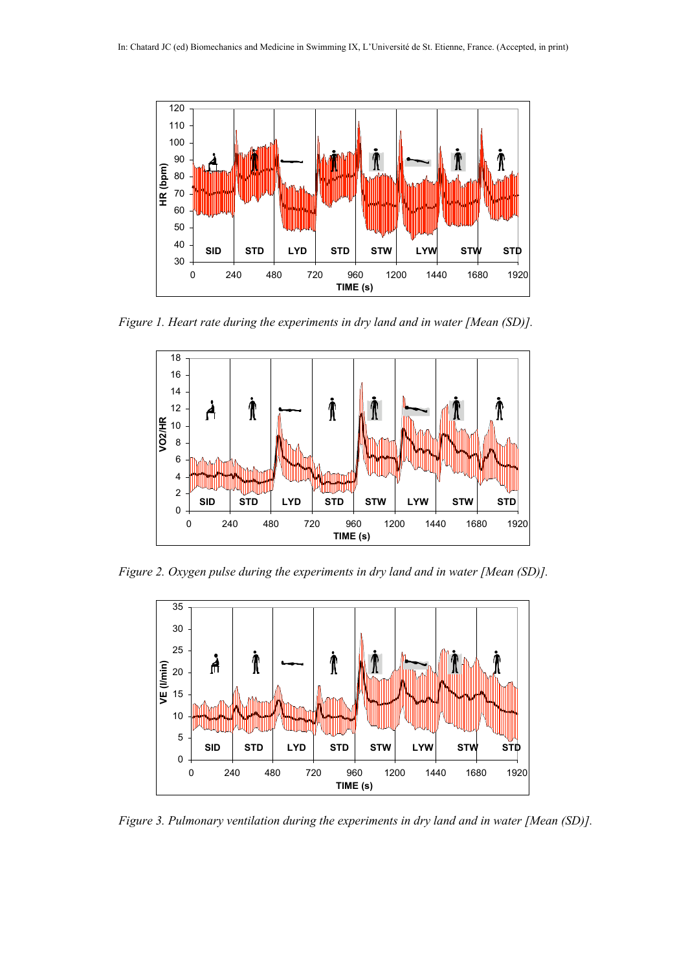

*Figure 1. Heart rate during the experiments in dry land and in water [Mean (SD)].*



*Figure 2. Oxygen pulse during the experiments in dry land and in water [Mean (SD)].*



*Figure 3. Pulmonary ventilation during the experiments in dry land and in water [Mean (SD)].*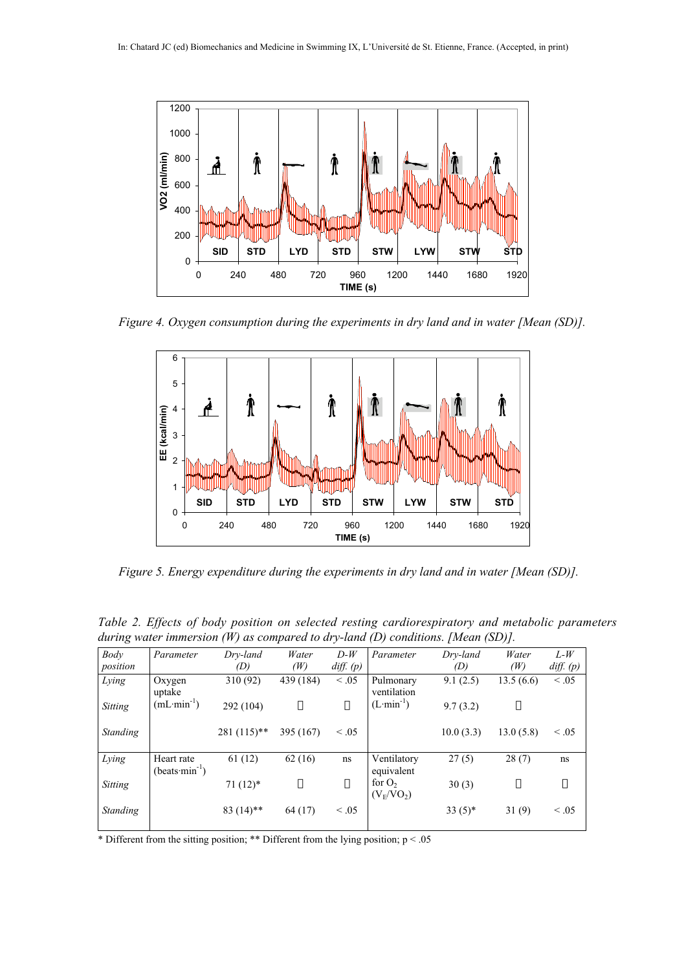

*Figure 4. Oxygen consumption during the experiments in dry land and in water [Mean (SD)].*



*Figure 5. Energy expenditure during the experiments in dry land and in water [Mean (SD)].*

*Table 2. Effects of body position on selected resting cardiorespiratory and metabolic parameters during water immersion (W) as compared to dry-land (D) conditions. [Mean (SD)].*

| Body            | Parameter                     | Dry-land      | Water     | $D-W$       | Parameter                 | Dry-land  | Water     | $L-W$         |
|-----------------|-------------------------------|---------------|-----------|-------------|---------------------------|-----------|-----------|---------------|
| position        |                               | (D)           | (W)       | diff. $(p)$ |                           | (D)       | (W)       | $diff.$ $(p)$ |
| Lying           | Oxygen<br>uptake              | 310 (92)      | 439 (184) | < 0.05      | Pulmonary<br>ventilation  | 9.1(2.5)  | 13.5(6.6) | < 0.05        |
| Sitting         | $(mL·min-1)$                  | 292 (104)     |           |             | $(L·min-1)$               | 9.7(3.2)  |           |               |
| <b>Standing</b> |                               | $281(115)$ ** | 395 (167) | $\leq .05$  |                           | 10.0(3.3) | 13.0(5.8) | $\leq .05$    |
| Lying           | Heart rate<br>$(beats·min-1)$ | 61(12)        | 62(16)    | ns          | Ventilatory<br>equivalent | 27(5)     | 28(7)     | ns            |
| Sitting         |                               | $71(12)*$     |           |             | for $O2$<br>$(V_E/VO_2)$  | 30(3)     |           |               |
| Standing        |                               | $83(14)$ **   | 64 (17)   | $\leq .05$  |                           | $33(5)*$  | 31(9)     | $\leq .05$    |

\* Different from the sitting position; \*\* Different from the lying position; p < .05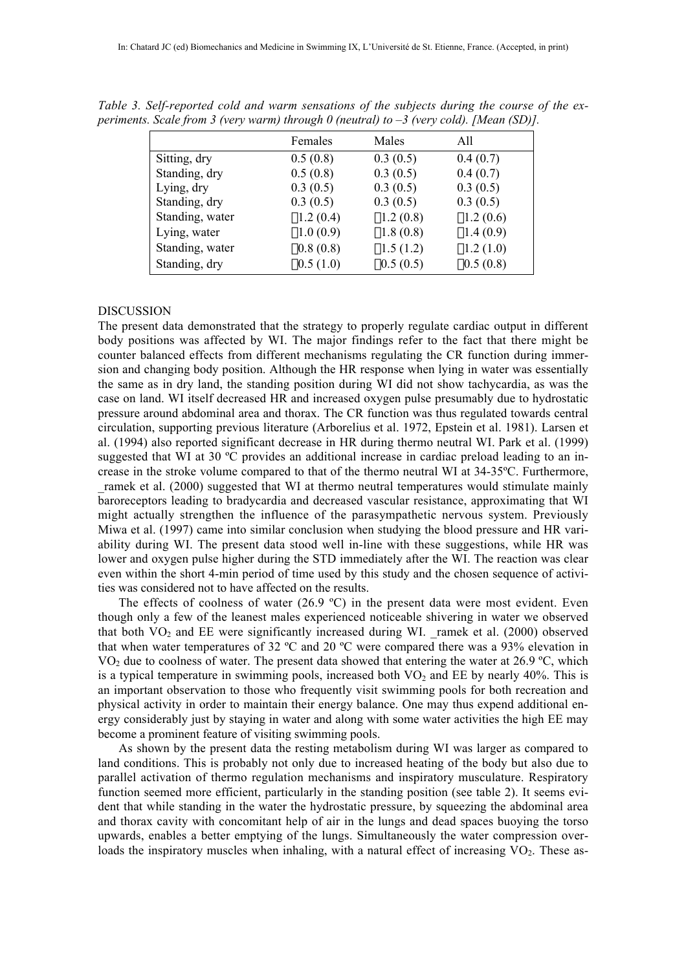|                 | Females     | Males       | A11         |
|-----------------|-------------|-------------|-------------|
| Sitting, dry    | 0.5(0.8)    | 0.3(0.5)    | 0.4(0.7)    |
| Standing, dry   | 0.5(0.8)    | 0.3(0.5)    | 0.4(0.7)    |
| Lying, dry      | 0.3(0.5)    | 0.3(0.5)    | 0.3(0.5)    |
| Standing, dry   | 0.3(0.5)    | 0.3(0.5)    | 0.3(0.5)    |
| Standing, water | $-1.2(0.4)$ | $-1.2(0.8)$ | $-1.2(0.6)$ |
| Lying, water    | $-1.0(0.9)$ | $-1.8(0.8)$ | $-1.4(0.9)$ |
| Standing, water | $-0.8(0.8)$ | $-1.5(1.2)$ | $-1.2(1.0)$ |
| Standing, dry   | $-0.5(1.0)$ | $-0.5(0.5)$ | $-0.5(0.8)$ |

*Table 3. Self-reported cold and warm sensations of the subjects during the course of the experiments. Scale from 3 (very warm) through 0 (neutral) to –3 (very cold). [Mean (SD)].*

## DISCUSSION

The present data demonstrated that the strategy to properly regulate cardiac output in different body positions was affected by WI. The major findings refer to the fact that there might be counter balanced effects from different mechanisms regulating the CR function during immersion and changing body position. Although the HR response when lying in water was essentially the same as in dry land, the standing position during WI did not show tachycardia, as was the case on land. WI itself decreased HR and increased oxygen pulse presumably due to hydrostatic pressure around abdominal area and thorax. The CR function was thus regulated towards central circulation, supporting previous literature (Arborelius et al. 1972, Epstein et al. 1981). Larsen et al. (1994) also reported significant decrease in HR during thermo neutral WI. Park et al. (1999) suggested that WI at 30 ºC provides an additional increase in cardiac preload leading to an increase in the stroke volume compared to that of the thermo neutral WI at 34-35ºC. Furthermore, ramek et al. (2000) suggested that WI at thermo neutral temperatures would stimulate mainly baroreceptors leading to bradycardia and decreased vascular resistance, approximating that WI might actually strengthen the influence of the parasympathetic nervous system. Previously Miwa et al. (1997) came into similar conclusion when studying the blood pressure and HR variability during WI. The present data stood well in-line with these suggestions, while HR was lower and oxygen pulse higher during the STD immediately after the WI. The reaction was clear even within the short 4-min period of time used by this study and the chosen sequence of activities was considered not to have affected on the results.

The effects of coolness of water (26.9 °C) in the present data were most evident. Even though only a few of the leanest males experienced noticeable shivering in water we observed that both  $VO<sub>2</sub>$  and EE were significantly increased during WI. ramek et al. (2000) observed that when water temperatures of 32 ºC and 20 ºC were compared there was a 93% elevation in VO<sub>2</sub> due to coolness of water. The present data showed that entering the water at 26.9 °C, which is a typical temperature in swimming pools, increased both  $VO<sub>2</sub>$  and EE by nearly 40%. This is an important observation to those who frequently visit swimming pools for both recreation and physical activity in order to maintain their energy balance. One may thus expend additional energy considerably just by staying in water and along with some water activities the high EE may become a prominent feature of visiting swimming pools.

As shown by the present data the resting metabolism during WI was larger as compared to land conditions. This is probably not only due to increased heating of the body but also due to parallel activation of thermo regulation mechanisms and inspiratory musculature. Respiratory function seemed more efficient, particularly in the standing position (see table 2). It seems evident that while standing in the water the hydrostatic pressure, by squeezing the abdominal area and thorax cavity with concomitant help of air in the lungs and dead spaces buoying the torso upwards, enables a better emptying of the lungs. Simultaneously the water compression overloads the inspiratory muscles when inhaling, with a natural effect of increasing  $VO<sub>2</sub>$ . These as